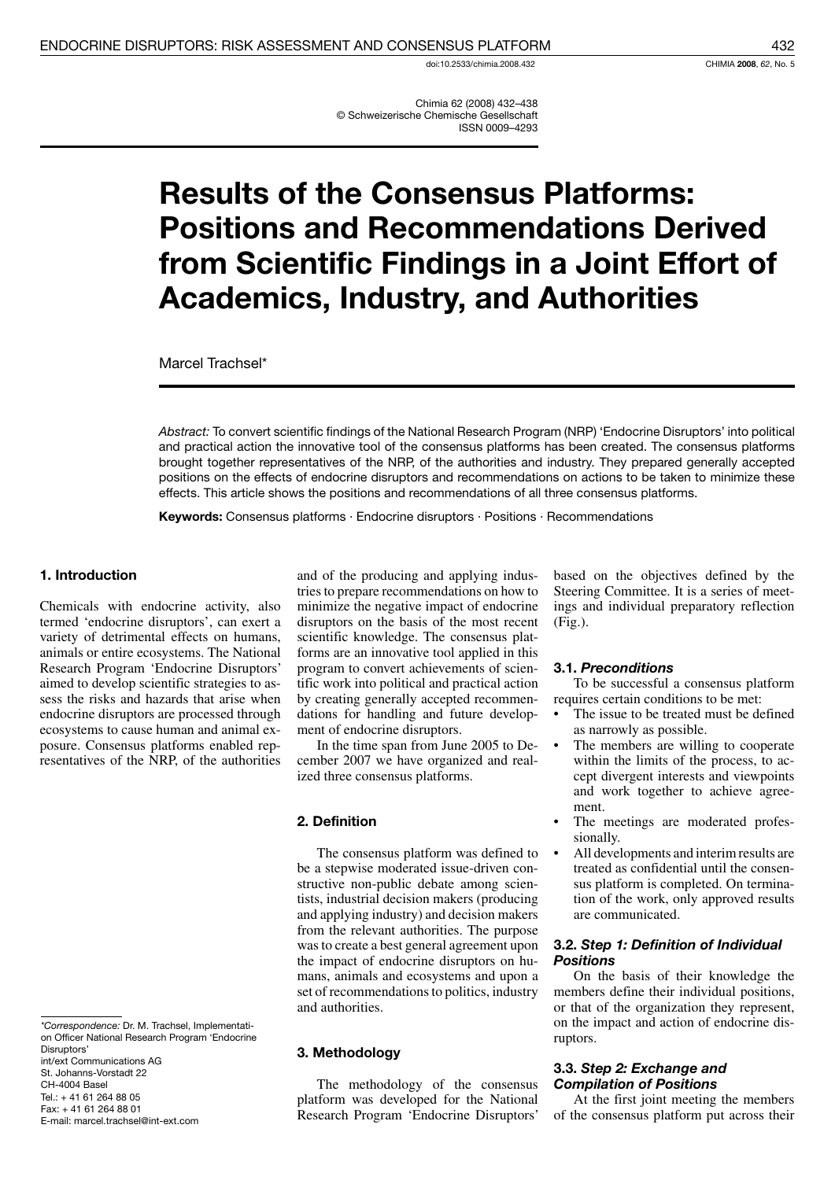doi:10.2533/chimia.2008.432

Chimia 62 (2008) 432-438 © Schweizerische Chemische Gesellschaft **ISSN 0009-4293** 

# **Results of the Consensus Platforms: Positions and Recommendations Derived** from Scientific Findings in a Joint Effort of **Academics, Industry, and Authorities**

Marcel Trachsel\*

Abstract: To convert scientific findings of the National Research Program (NRP) 'Endocrine Disruptors' into political and practical action the innovative tool of the consensus platforms has been created. The consensus platforms brought together representatives of the NRP, of the authorities and industry. They prepared generally accepted positions on the effects of endocrine disruptors and recommendations on actions to be taken to minimize these effects. This article shows the positions and recommendations of all three consensus platforms.

Keywords: Consensus platforms · Endocrine disruptors · Positions · Recommendations

#### 1. Introduction

Chemicals with endocrine activity, also termed 'endocrine disruptors', can exert a variety of detrimental effects on humans, animals or entire ecosystems. The National Research Program 'Endocrine Disruptors' aimed to develop scientific strategies to assess the risks and hazards that arise when endocrine disruptors are processed through ecosystems to cause human and animal exposure. Consensus platforms enabled representatives of the NRP, of the authorities

```
St. Johanns-Vorstadt 22
CH-4004 Basel
Tel.: +41 61 264 88 05
Fax: +41 61 264 88 01
E-mail: marcel.trachsel@int-ext.com
```
and of the producing and applying industries to prepare recommendations on how to minimize the negative impact of endocrine disruptors on the basis of the most recent scientific knowledge. The consensus platforms are an innovative tool applied in this program to convert achievements of scientific work into political and practical action by creating generally accepted recommendations for handling and future development of endocrine disruptors.

In the time span from June 2005 to December 2007 we have organized and realized three consensus platforms.

#### 2. Definition

The consensus platform was defined to be a stepwise moderated issue-driven constructive non-public debate among scientists, industrial decision makers (producing and applying industry) and decision makers from the relevant authorities. The purpose was to create a best general agreement upon the impact of endocrine disruptors on humans, animals and ecosystems and upon a set of recommendations to politics, industry and authorities

#### 3. Methodology

The methodology of the consensus platform was developed for the National Research Program 'Endocrine Disruptors'

based on the objectives defined by the Steering Committee. It is a series of meetings and individual preparatory reflection  $(Fig.)$ .

#### 3.1. Preconditions

To be successful a consensus platform requires certain conditions to be met:

- The issue to be treated must be defined as narrowly as possible.
- The members are willing to cooperate within the limits of the process, to accept divergent interests and viewpoints and work together to achieve agreement.
- The meetings are moderated professionally.
- All developments and interim results are treated as confidential until the consensus platform is completed. On termination of the work, only approved results are communicated.

#### 3.2. Step 1: Definition of Individual **Positions**

On the basis of their knowledge the members define their individual positions, or that of the organization they represent, on the impact and action of endocrine disruptors.

#### 3.3. Step 2: Exchange and **Compilation of Positions**

At the first joint meeting the members of the consensus platform put across their

<sup>\*</sup>Correspondence: Dr. M. Trachsel, Implementation Officer National Research Program 'Endocrine Disruptors' int/ext Communications AG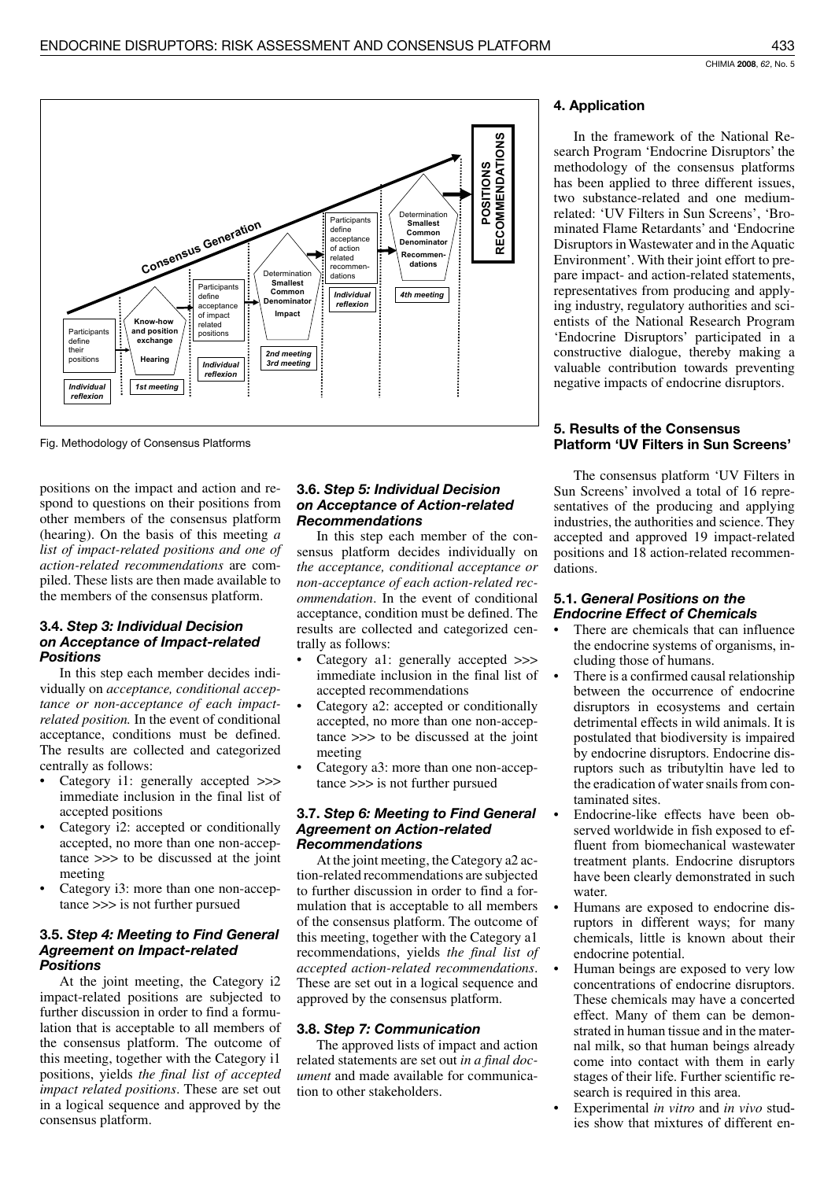

Fig. Methodology of Consensus Platforms

positions on the impact and action and respond to questions on their positions from other members of the consensus platform (hearing). On the basis of this meeting  $a$ list of impact-related positions and one of action-related recommendations are compiled. These lists are then made available to the members of the consensus platform.

#### 3.4. Step 3: Individual Decision on Acceptance of Impact-related **Positions**

In this step each member decides individually on acceptance, conditional acceptance or non-acceptance of each impactrelated position. In the event of conditional acceptance, conditions must be defined. The results are collected and categorized centrally as follows:

- Category i1: generally accepted >>> immediate inclusion in the final list of accepted positions
- Category i2: accepted or conditionally accepted, no more than one non-accep $tance \gg$  to be discussed at the joint meeting
- Category i3: more than one non-acceptance >>> is not further pursued

#### 3.5. Step 4: Meeting to Find General **Agreement on Impact-related Positions**

At the joint meeting, the Category i2 impact-related positions are subjected to further discussion in order to find a formulation that is acceptable to all members of the consensus platform. The outcome of this meeting, together with the Category i1 positions, yields the final list of accepted *impact related positions.* These are set out in a logical sequence and approved by the consensus platform.

#### 3.6. Step 5: Individual Decision on Acceptance of Action-related **Recommendations**

In this step each member of the consensus platform decides individually on the acceptance, conditional acceptance or non-acceptance of each action-related recommendation. In the event of conditional acceptance, condition must be defined. The results are collected and categorized centrally as follows:

- Category a1: generally accepted >>> immediate inclusion in the final list of accepted recommendations
- Category a2: accepted or conditionally accepted, no more than one non-accep $tance \gg\gt$  to be discussed at the joint meeting
- Category a3: more than one non-acceptance >>> is not further pursued

#### 3.7. Step 6: Meeting to Find General **Agreement on Action-related Recommendations**

At the joint meeting, the Category a2 action-related recommendations are subjected to further discussion in order to find a formulation that is acceptable to all members of the consensus platform. The outcome of this meeting, together with the Category a1 recommendations, yields the final list of accepted action-related recommendations. These are set out in a logical sequence and approved by the consensus platform.

#### 3.8. Step 7: Communication

The approved lists of impact and action related statements are set out in a final doc*ument* and made available for communication to other stakeholders.

## 4. Application

In the framework of the National Research Program 'Endocrine Disruptors' the methodology of the consensus platforms has been applied to three different issues, two substance-related and one mediumrelated: 'UV Filters in Sun Screens', 'Brominated Flame Retardants' and 'Endocrine Disruptors in Wastewater and in the Aquatic Environment'. With their joint effort to prepare impact- and action-related statements, representatives from producing and applying industry, regulatory authorities and scientists of the National Research Program 'Endocrine Disruptors' participated in a constructive dialogue, thereby making a valuable contribution towards preventing negative impacts of endocrine disruptors.

## 5. Results of the Consensus **Platform 'UV Filters in Sun Screens'**

The consensus platform 'UV Filters in Sun Screens' involved a total of 16 representatives of the producing and applying industries, the authorities and science. They accepted and approved 19 impact-related positions and 18 action-related recommendations.

#### 5.1. General Positions on the **Endocrine Effect of Chemicals**

- There are chemicals that can influence the endocrine systems of organisms, including those of humans.
- There is a confirmed causal relationship between the occurrence of endocrine disruptors in ecosystems and certain detrimental effects in wild animals. It is postulated that biodiversity is impaired by endocrine disruptors. Endocrine disruptors such as tributyltin have led to the eradication of water snails from contaminated sites.
- Endocrine-like effects have been observed worldwide in fish exposed to effluent from biomechanical wastewater treatment plants. Endocrine disruptors have been clearly demonstrated in such water.
- Humans are exposed to endocrine disruptors in different ways; for many chemicals, little is known about their endocrine potential.
- Human beings are exposed to very low concentrations of endocrine disruptors. These chemicals may have a concerted effect. Many of them can be demonstrated in human tissue and in the maternal milk, so that human beings already come into contact with them in early stages of their life. Further scientific research is required in this area.
- Experimental *in vitro* and *in vivo* studies show that mixtures of different en-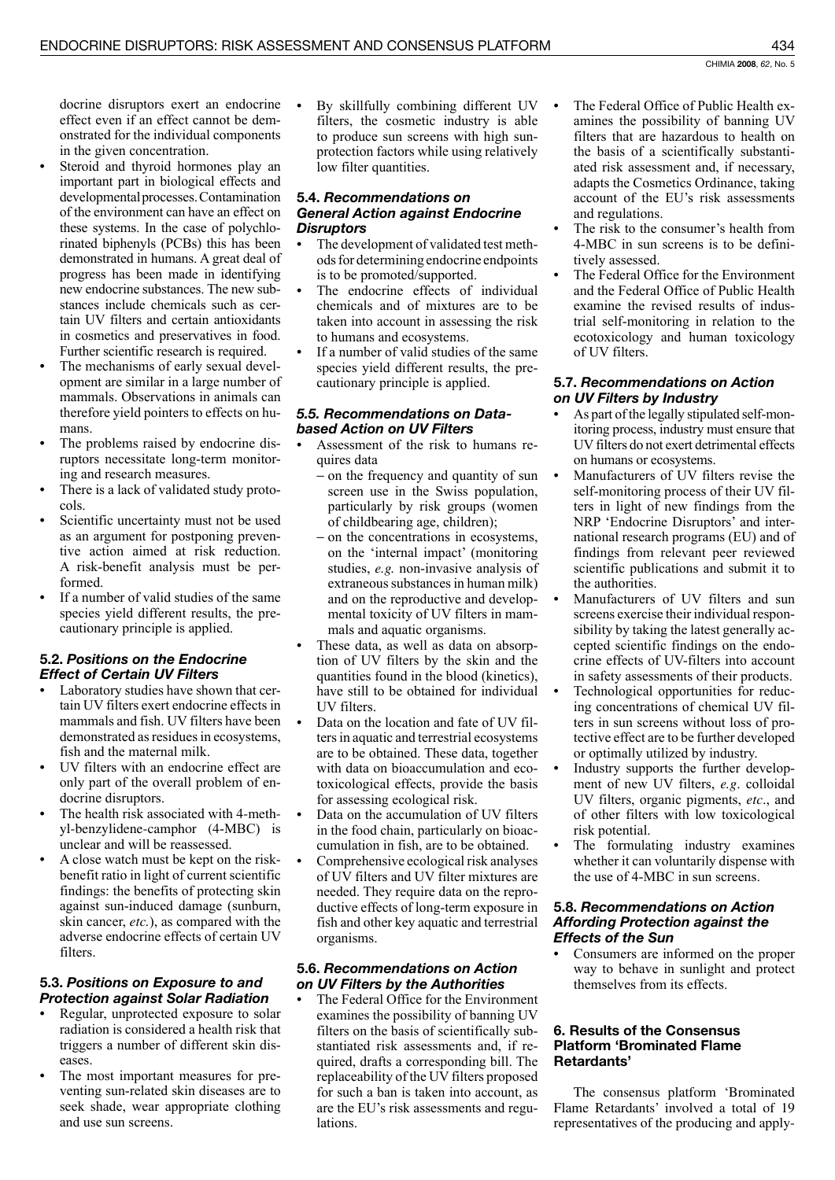docrine disruptors exert an endocrine effect even if an effect cannot be demonstrated for the individual components in the given concentration.

- Steroid and thyroid hormones play an important part in biological effects and developmental processes. Contamination of the environment can have an effect on these systems. In the case of polychlorinated biphenyls (PCBs) this has been demonstrated in humans. A great deal of progress has been made in identifying new endocrine substances. The new substances include chemicals such as certain UV filters and certain antioxidants in cosmetics and preservatives in food. Further scientific research is required.
- The mechanisms of early sexual development are similar in a large number of mammals. Observations in animals can therefore yield pointers to effects on humans.
- The problems raised by endocrine disruptors necessitate long-term monitoring and research measures.
- There is a lack of validated study protocols.
- Scientific uncertainty must not be used as an argument for postponing preventive action aimed at risk reduction. A risk-benefit analysis must be performed
- If a number of valid studies of the same species yield different results, the precautionary principle is applied.

# 5.2. Positions on the Endocrine **Effect of Certain UV Filters**

- Laboratory studies have shown that certain UV filters exert endocrine effects in mammals and fish. UV filters have been demonstrated as residues in ecosystems, fish and the maternal milk.
- UV filters with an endocrine effect are only part of the overall problem of endocrine disruptors.
- The health risk associated with 4-methyl-benzylidene-camphor (4-MBC) is unclear and will be reassessed.
- A close watch must be kept on the riskbenefit ratio in light of current scientific findings: the benefits of protecting skin against sun-induced damage (sunburn, skin cancer, etc.), as compared with the adverse endocrine effects of certain UV filters.

# 5.3. Positions on Exposure to and **Protection against Solar Radiation**

- Regular, unprotected exposure to solar radiation is considered a health risk that triggers a number of different skin diseases.
- The most important measures for preventing sun-related skin diseases are to seek shade, wear appropriate clothing and use sun screens.

By skillfully combining different UV  $\bullet$ filters, the cosmetic industry is able to produce sun screens with high sunprotection factors while using relatively low filter quantities.

## 5.4. Recommendations on **General Action against Endocrine Disruptors**

- The development of validated test methods for determining endocrine endpoints is to be promoted/supported.
- The endocrine effects of individual chemicals and of mixtures are to be taken into account in assessing the risk to humans and ecosystems.
- If a number of valid studies of the same species yield different results, the precautionary principle is applied.

# 5.5. Recommendations on Databased Action on UV Filters

- Assessment of the risk to humans requires data
	- on the frequency and quantity of sun screen use in the Swiss population, particularly by risk groups (women of childbearing age, children);
	- on the concentrations in ecosystems, on the 'internal impact' (monitoring studies, e.g. non-invasive analysis of extraneous substances in human milk) and on the reproductive and developmental toxicity of UV filters in mammals and aquatic organisms.
- These data, as well as data on absorption of UV filters by the skin and the quantities found in the blood (kinetics), have still to be obtained for individual UV filters.
- Data on the location and fate of UV fil- $\bullet$ ters in aquatic and terrestrial ecosystems are to be obtained. These data, together with data on bioaccumulation and ecotoxicological effects, provide the basis for assessing ecological risk.
- Data on the accumulation of UV filters in the food chain, particularly on bioaccumulation in fish, are to be obtained.
- Comprehensive ecological risk analyses of UV filters and UV filter mixtures are needed. They require data on the reproductive effects of long-term exposure in fish and other key aquatic and terrestrial organisms.

# 5.6. Recommendations on Action on UV Filters by the Authorities

The Federal Office for the Environment examines the possibility of banning UV filters on the basis of scientifically substantiated risk assessments and, if required, drafts a corresponding bill. The replaceability of the UV filters proposed for such a ban is taken into account, as are the EU's risk assessments and regu*lations* 

- The Federal Office of Public Health examines the possibility of banning UV filters that are hazardous to health on the basis of a scientifically substantiated risk assessment and, if necessary, adapts the Cosmetics Ordinance, taking account of the EU's risk assessments and regulations.
- The risk to the consumer's health from 4-MBC in sun screens is to be definitively assessed.
- The Federal Office for the Environment and the Federal Office of Public Health examine the revised results of industrial self-monitoring in relation to the ecotoxicology and human toxicology of UV filters.

# 5.7. Recommendations on Action on UV Filters by Industry

- As part of the legally stipulated self-monitoring process, industry must ensure that UV filters do not exert detrimental effects on humans or ecosystems.
- Manufacturers of UV filters revise the self-monitoring process of their UV filters in light of new findings from the NRP 'Endocrine Disruptors' and international research programs (EU) and of findings from relevant peer reviewed scientific publications and submit it to the authorities.
- Manufacturers of UV filters and sun screens exercise their individual responsibility by taking the latest generally accepted scientific findings on the endocrine effects of UV-filters into account in safety assessments of their products.
- Technological opportunities for reducing concentrations of chemical UV filters in sun screens without loss of protective effect are to be further developed or optimally utilized by industry.
- Industry supports the further development of new UV filters, e.g. colloidal UV filters, organic pigments, etc., and of other filters with low toxicological risk potential.
- The formulating industry examines whether it can voluntarily dispense with the use of 4-MBC in sun screens.

## 5.8. Recommendations on Action **Affording Protection against the Effects of the Sun**

Consumers are informed on the proper way to behave in sunlight and protect themselves from its effects.

# 6. Results of the Consensus **Platform 'Brominated Flame** Retardants'

The consensus platform 'Brominated Flame Retardants' involved a total of 19 representatives of the producing and apply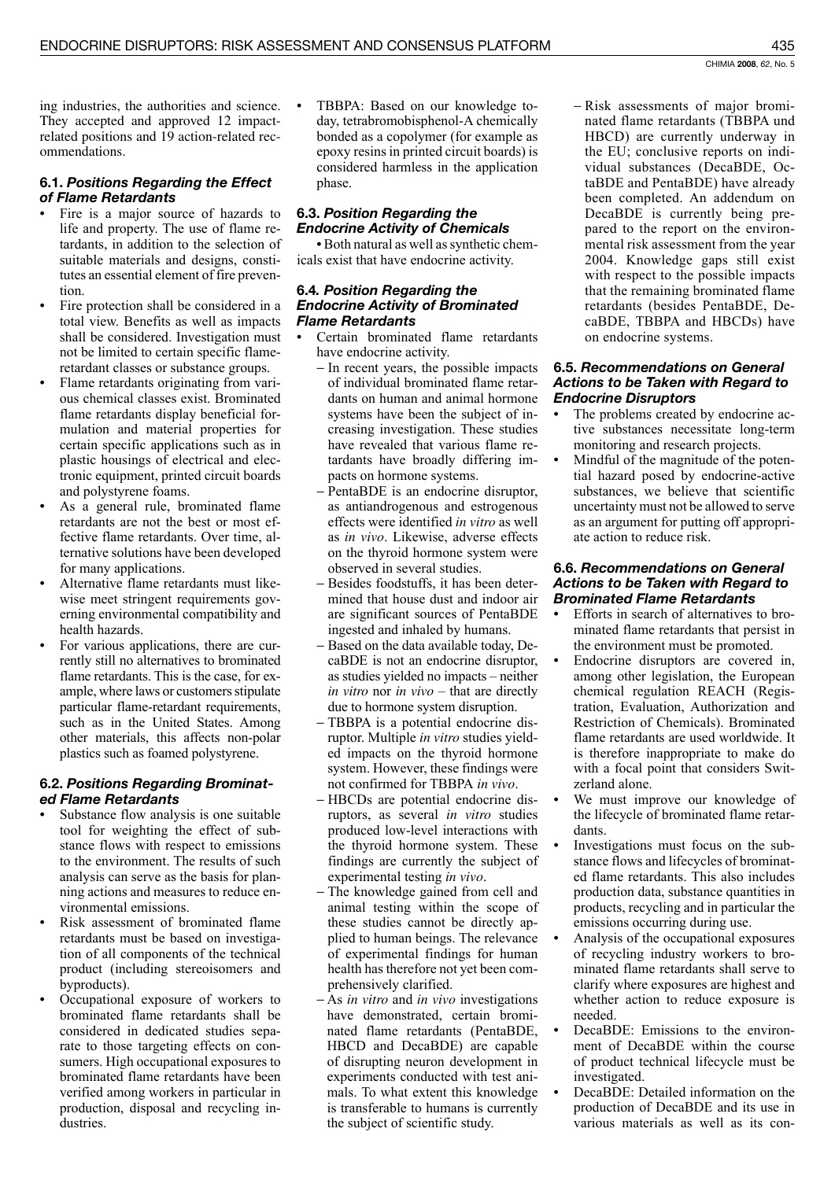ing industries, the authorities and science. They accepted and approved 12 impactrelated positions and 19 action-related recommendations.

## 6.1. Positions Regarding the Effect of Flame Retardants

- Fire is a major source of hazards to life and property. The use of flame retardants, in addition to the selection of suitable materials and designs, constitutes an essential element of fire prevention.
- Fire protection shall be considered in a total view. Benefits as well as impacts shall be considered. Investigation must not be limited to certain specific flameretardant classes or substance groups.
- Flame retardants originating from various chemical classes exist. Brominated flame retardants display beneficial formulation and material properties for certain specific applications such as in plastic housings of electrical and electronic equipment, printed circuit boards and polystyrene foams.
- As a general rule, brominated flame retardants are not the best or most effective flame retardants. Over time, alternative solutions have been developed for many applications.
- Alternative flame retardants must likewise meet stringent requirements governing environmental compatibility and health hazards.
- For various applications, there are currently still no alternatives to brominated flame retardants. This is the case, for example, where laws or customers stipulate particular flame-retardant requirements, such as in the United States. Among other materials, this affects non-polar plastics such as foamed polystyrene.

## 6.2. Positions Regarding Brominated Flame Retardants

- Substance flow analysis is one suitable tool for weighting the effect of substance flows with respect to emissions to the environment. The results of such analysis can serve as the basis for planning actions and measures to reduce environmental emissions.
- Risk assessment of brominated flame retardants must be based on investigation of all components of the technical product (including stereoisomers and byproducts).
- Occupational exposure of workers to brominated flame retardants shall be considered in dedicated studies separate to those targeting effects on consumers. High occupational exposures to brominated flame retardants have been verified among workers in particular in production, disposal and recycling industries

TBBPA: Based on our knowledge today, tetrabromobisphenol-A chemically bonded as a copolymer (for example as epoxy resins in printed circuit boards) is considered harmless in the application phase.

#### 6.3. Position Regarding the **Endocrine Activity of Chemicals**

· Both natural as well as synthetic chemicals exist that have endocrine activity.

#### 6.4. Position Regarding the **Endocrine Activity of Brominated Flame Retardants**

- Certain brominated flame retardants have endocrine activity.
	- In recent years, the possible impacts of individual brominated flame retardants on human and animal hormone systems have been the subject of increasing investigation. These studies have revealed that various flame retardants have broadly differing impacts on hormone systems.
	- PentaBDE is an endocrine disruptor, as antiandrogenous and estrogenous effects were identified in vitro as well as in vivo. Likewise, adverse effects on the thyroid hormone system were observed in several studies.
	- Besides foodstuffs, it has been determined that house dust and indoor air are significant sources of PentaBDE ingested and inhaled by humans.
	- Based on the data available today, DecaBDE is not an endocrine disruptor, as studies yielded no impacts – neither in vitro nor in vivo – that are directly due to hormone system disruption.
	- TBBPA is a potential endocrine disruptor. Multiple *in vitro* studies yielded impacts on the thyroid hormone system. However, these findings were not confirmed for TBBPA in vivo.
	- HBCDs are potential endocrine disruptors, as several in vitro studies produced low-level interactions with the thyroid hormone system. These findings are currently the subject of experimental testing *in vivo*.
	- The knowledge gained from cell and animal testing within the scope of these studies cannot be directly applied to human beings. The relevance of experimental findings for human health has therefore not yet been comprehensively clarified.
	- $-$  As *in vitro* and *in vivo* investigations have demonstrated, certain brominated flame retardants (PentaBDE, HBCD and DecaBDE) are capable of disrupting neuron development in experiments conducted with test animals. To what extent this knowledge is transferable to humans is currently the subject of scientific study.

- Risk assessments of major brominated flame retardants (TBBPA und HBCD) are currently underway in the EU; conclusive reports on individual substances (DecaBDE, OctaBDE and PentaBDE) have already been completed. An addendum on DecaBDE is currently being prepared to the report on the environmental risk assessment from the year 2004. Knowledge gaps still exist with respect to the possible impacts that the remaining brominated flame. retardants (besides PentaBDE, DecaBDE, TBBPA and HBCDs) have on endocrine systems.

## 6.5. Recommendations on General **Actions to be Taken with Regard to Endocrine Disruptors**

- The problems created by endocrine active substances necessitate long-term monitoring and research projects.
- Mindful of the magnitude of the potential hazard posed by endocrine-active substances, we believe that scientific uncertainty must not be allowed to serve as an argument for putting off appropriate action to reduce risk.

#### 6.6. Recommendations on General **Actions to be Taken with Regard to Brominated Flame Retardants**

- Efforts in search of alternatives to brominated flame retardants that persist in the environment must be promoted.
- Endocrine disruptors are covered in, among other legislation, the European chemical regulation REACH (Registration, Evaluation, Authorization and Restriction of Chemicals). Brominated flame retardants are used worldwide. It is therefore inappropriate to make do with a focal point that considers Switzerland alone.
- We must improve our knowledge of the lifecycle of brominated flame retardants.
- Investigations must focus on the substance flows and lifecycles of brominated flame retardants. This also includes production data, substance quantities in products, recycling and in particular the emissions occurring during use.
- Analysis of the occupational exposures of recycling industry workers to brominated flame retardants shall serve to clarify where exposures are highest and whether action to reduce exposure is needed
- DecaBDE: Emissions to the environment of DecaBDE within the course of product technical lifecycle must be investigated.
- DecaBDE: Detailed information on the production of DecaBDE and its use in various materials as well as its con-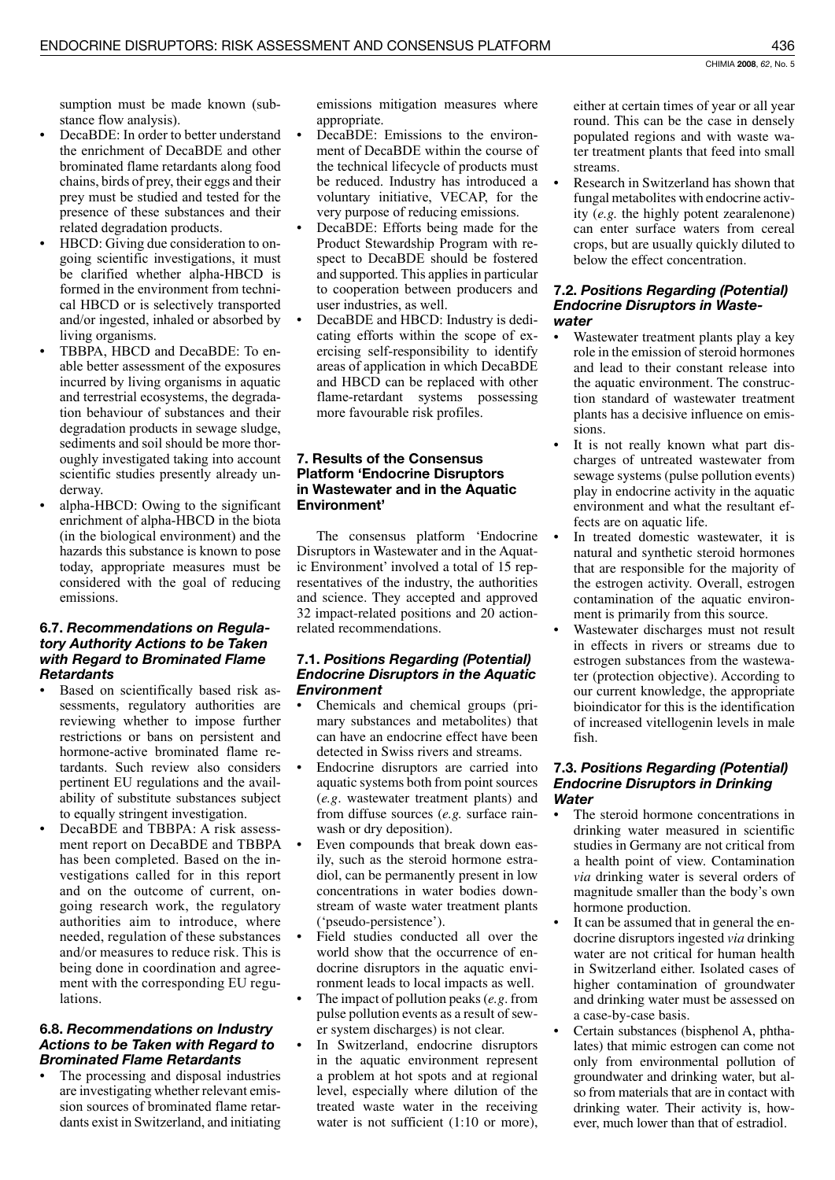sumption must be made known (substance flow analysis).

- DecaBDE: In order to better understand the enrichment of DecaBDE and other brominated flame retardants along food chains, birds of prey, their eggs and their prey must be studied and tested for the presence of these substances and their related degradation products.
- HBCD: Giving due consideration to ongoing scientific investigations, it must be clarified whether alpha-HBCD is formed in the environment from technical HBCD or is selectively transported and/or ingested, inhaled or absorbed by living organisms.
- TBBPA, HBCD and DecaBDE: To enable better assessment of the exposures incurred by living organisms in aquatic and terrestrial ecosystems, the degradation behaviour of substances and their degradation products in sewage sludge, sediments and soil should be more thoroughly investigated taking into account scientific studies presently already underway.
- alpha-HBCD: Owing to the significant enrichment of alpha-HBCD in the biota (in the biological environment) and the hazards this substance is known to pose today, appropriate measures must be considered with the goal of reducing emissions

## 6.7. Recommendations on Regulatory Authority Actions to be Taken with Regard to Brominated Flame **Retardants**

- Based on scientifically based risk assessments, regulatory authorities are reviewing whether to impose further restrictions or bans on persistent and hormone-active brominated flame retardants. Such review also considers pertinent EU regulations and the availability of substitute substances subject to equally stringent investigation.
- DecaBDE and TBBPA: A risk assessment report on DecaBDE and TBBPA has been completed. Based on the investigations called for in this report and on the outcome of current, ongoing research work, the regulatory authorities aim to introduce, where needed, regulation of these substances and/or measures to reduce risk. This is being done in coordination and agreement with the corresponding EU regulations.

## 6.8. Recommendations on Industry **Actions to be Taken with Regard to Brominated Flame Retardants**

The processing and disposal industries are investigating whether relevant emission sources of brominated flame retardants exist in Switzerland, and initiating emissions mitigation measures where appropriate.

- DecaBDE: Emissions to the environment of DecaBDE within the course of the technical lifecycle of products must be reduced. Industry has introduced a voluntary initiative, VECAP, for the very purpose of reducing emissions.
- DecaBDE: Efforts being made for the Product Stewardship Program with respect to DecaBDE should be fostered and supported. This applies in particular to cooperation between producers and user industries, as well.
- DecaBDE and HBCD: Industry is dedicating efforts within the scope of exercising self-responsibility to identify areas of application in which DecaBDE and HBCD can be replaced with other flame-retardant systems possessing more favourable risk profiles.

## 7. Results of the Consensus **Platform 'Endocrine Disruptors** in Wastewater and in the Aquatic Environment'

The consensus platform 'Endocrine Disruptors in Wastewater and in the Aquatic Environment' involved a total of 15 representatives of the industry, the authorities and science. They accepted and approved 32 impact-related positions and 20 actionrelated recommendations.

# 7.1. Positions Regarding (Potential) **Endocrine Disruptors in the Aquatic Environment**

- Chemicals and chemical groups (primary substances and metabolites) that can have an endocrine effect have been detected in Swiss rivers and streams.
- Endocrine disruptors are carried into aquatic systems both from point sources (e.g. wastewater treatment plants) and from diffuse sources (e.g. surface rainwash or dry deposition).
- Even compounds that break down easily, such as the steroid hormone estradiol, can be permanently present in low concentrations in water bodies downstream of waste water treatment plants ('pseudo-persistence').
- Field studies conducted all over the world show that the occurrence of endocrine disruptors in the aquatic environment leads to local impacts as well.
- The impact of pollution peaks  $(e.g.$  from pulse pollution events as a result of sewer system discharges) is not clear.
- In Switzerland, endocrine disruptors in the aquatic environment represent a problem at hot spots and at regional level, especially where dilution of the treated waste water in the receiving water is not sufficient  $(1:10 \text{ or more})$ ,

either at certain times of year or all year round. This can be the case in densely populated regions and with waste water treatment plants that feed into small streams.

Research in Switzerland has shown that fungal metabolites with endocrine activity (e.g. the highly potent zearalenone) can enter surface waters from cereal crops, but are usually quickly diluted to below the effect concentration.

## 7.2. Positions Regarding (Potential) **Endocrine Disruptors in Waste**water

- Wastewater treatment plants play a key role in the emission of steroid hormones and lead to their constant release into the aquatic environment. The construction standard of wastewater treatment plants has a decisive influence on emissions.
- It is not really known what part discharges of untreated wastewater from sewage systems (pulse pollution events) play in endocrine activity in the aquatic environment and what the resultant effects are on aquatic life.
- In treated domestic wastewater, it is natural and synthetic steroid hormones that are responsible for the majority of the estrogen activity. Overall, estrogen contamination of the aquatic environment is primarily from this source.
- Wastewater discharges must not result in effects in rivers or streams due to estrogen substances from the wastewater (protection objective). According to our current knowledge, the appropriate bioindicator for this is the identification of increased vitellogenin levels in male fish.

## 7.3. Positions Regarding (Potential) **Endocrine Disruptors in Drinking** Water

- The steroid hormone concentrations in drinking water measured in scientific studies in Germany are not critical from a health point of view. Contamination *via* drinking water is several orders of magnitude smaller than the body's own hormone production.
- It can be assumed that in general the endocrine disruptors ingested *via* drinking water are not critical for human health in Switzerland either. Isolated cases of higher contamination of groundwater and drinking water must be assessed on a case-by-case basis.
- Certain substances (bisphenol A, phthalates) that mimic estrogen can come not only from environmental pollution of groundwater and drinking water, but also from materials that are in contact with drinking water. Their activity is, however, much lower than that of estradiol.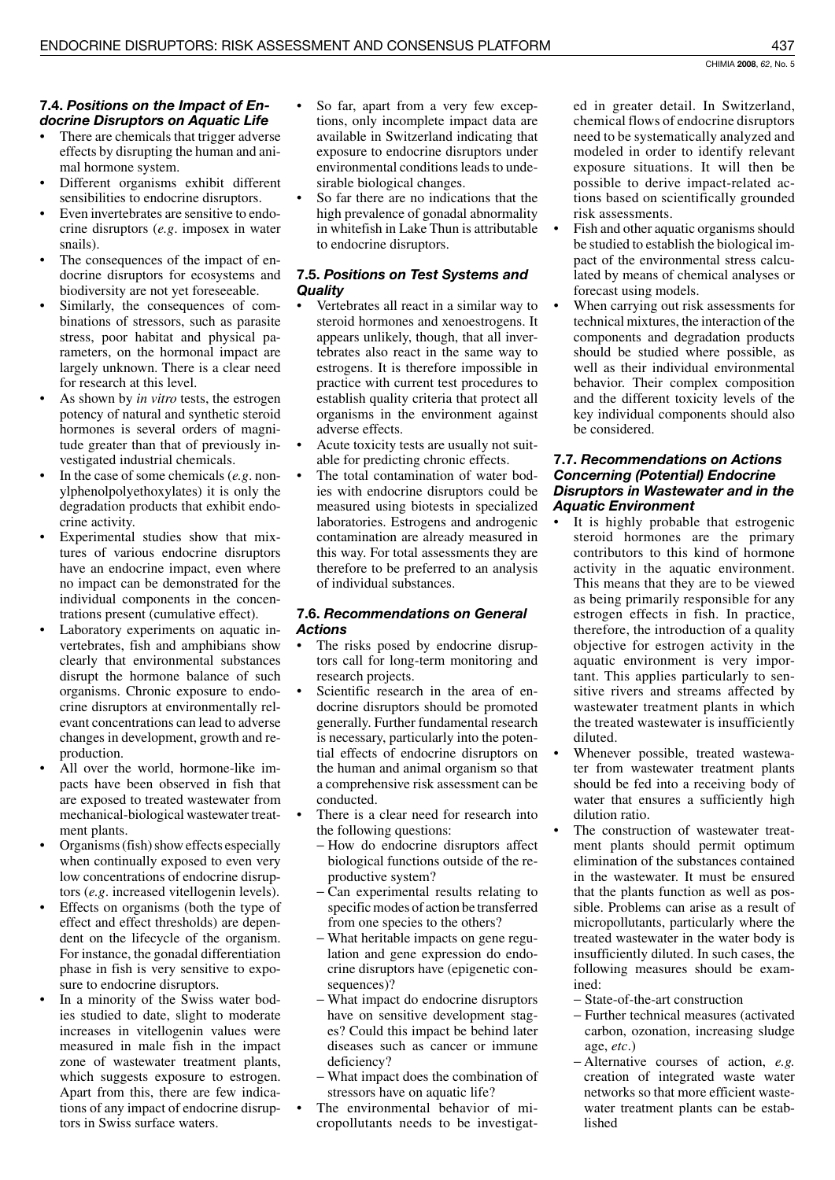# 7.4. Positions on the Impact of Endocrine Disruptors on Aquatic Life

- There are chemicals that trigger adverse effects by disrupting the human and animal hormone system.
- Different organisms exhibit different sensibilities to endocrine disruptors.
- Even invertebrates are sensitive to endocrine disruptors  $(e.g.$  imposex in water snails).
- The consequences of the impact of endocrine disruptors for ecosystems and biodiversity are not yet foreseeable.
- Similarly, the consequences of combinations of stressors, such as parasite stress, poor habitat and physical parameters, on the hormonal impact are largely unknown. There is a clear need for research at this level.
- As shown by *in vitro* tests, the estrogen potency of natural and synthetic steroid hormones is several orders of magnitude greater than that of previously investigated industrial chemicals.
- In the case of some chemicals  $(e.g.$  nonylphenolpolyethoxylates) it is only the degradation products that exhibit endocrine activity.
- Experimental studies show that mixtures of various endocrine disruptors have an endocrine impact, even where no impact can be demonstrated for the individual components in the concentrations present (cumulative effect).
- Laboratory experiments on aquatic invertebrates, fish and amphibians show clearly that environmental substances disrupt the hormone balance of such organisms. Chronic exposure to endocrine disruptors at environmentally relevant concentrations can lead to adverse changes in development, growth and reproduction.
- All over the world, hormone-like impacts have been observed in fish that are exposed to treated wastewater from mechanical-biological wastewater treatment plants.
- Organisms (fish) show effects especially when continually exposed to even very low concentrations of endocrine disruptors (e.g. increased vitellogenin levels).
- Effects on organisms (both the type of effect and effect thresholds) are dependent on the lifecycle of the organism. For instance, the gonadal differentiation phase in fish is very sensitive to exposure to endocrine disruptors.
- In a minority of the Swiss water bodies studied to date, slight to moderate increases in vitellogenin values were measured in male fish in the impact zone of wastewater treatment plants, which suggests exposure to estrogen. Apart from this, there are few indications of any impact of endocrine disruptors in Swiss surface waters.
- So far, apart from a very few exceptions, only incomplete impact data are available in Switzerland indicating that exposure to endocrine disruptors under environmental conditions leads to undesirable biological changes.
- So far there are no indications that the high prevalence of gonadal abnormality in whitefish in Lake Thun is attributable to endocrine disruptors.

# 7.5. Positions on Test Systems and Quality

- Vertebrates all react in a similar way to steroid hormones and xenoestrogens. It appears unlikely, though, that all invertebrates also react in the same way to estrogens. It is therefore impossible in practice with current test procedures to establish quality criteria that protect all organisms in the environment against adverse effects.
- Acute toxicity tests are usually not suitable for predicting chronic effects.
- The total contamination of water bodies with endocrine disruptors could be measured using biotests in specialized laboratories. Estrogens and androgenic contamination are already measured in this way. For total assessments they are therefore to be preferred to an analysis of individual substances.

# 7.6. Recommendations on General **Actions**

- The risks posed by endocrine disruptors call for long-term monitoring and research projects.
- Scientific research in the area of endocrine disruptors should be promoted generally. Further fundamental research is necessary, particularly into the potential effects of endocrine disruptors on the human and animal organism so that a comprehensive risk assessment can be conducted.
- There is a clear need for research into the following questions:
	- How do endocrine disruptors affect biological functions outside of the reproductive system?
	- Can experimental results relating to specific modes of action be transferred from one species to the others?
	- What heritable impacts on gene regulation and gene expression do endocrine disruptors have (epigenetic consequences)?
	- What impact do endocrine disruptors have on sensitive development stages? Could this impact be behind later diseases such as cancer or immune deficiency?
	- What impact does the combination of stressors have on aquatic life?
- The environmental behavior of micropollutants needs to be investigat-

ed in greater detail. In Switzerland, chemical flows of endocrine disruptors need to be systematically analyzed and modeled in order to identify relevant exposure situations. It will then be possible to derive impact-related actions based on scientifically grounded risk assessments.

- Fish and other aquatic organisms should be studied to establish the biological impact of the environmental stress calculated by means of chemical analyses or forecast using models.
- When carrying out risk assessments for technical mixtures, the interaction of the components and degradation products should be studied where possible, as well as their individual environmental behavior. Their complex composition and the different toxicity levels of the key individual components should also be considered.

## 7.7. Recommendations on Actions **Concerning (Potential) Endocrine** Disruptors in Wastewater and in the **Aquatic Environment**

- It is highly probable that estrogenic steroid hormones are the primary contributors to this kind of hormone activity in the aquatic environment. This means that they are to be viewed as being primarily responsible for any estrogen effects in fish. In practice, therefore, the introduction of a quality objective for estrogen activity in the aquatic environment is very important. This applies particularly to sensitive rivers and streams affected by wastewater treatment plants in which the treated was tewater is insufficiently diluted.
- Whenever possible, treated wastewater from wastewater treatment plants should be fed into a receiving body of water that ensures a sufficiently high dilution ratio.
- The construction of wastewater treatment plants should permit optimum elimination of the substances contained in the wastewater. It must be ensured that the plants function as well as possible. Problems can arise as a result of micropollutants, particularly where the treated was tewater in the water body is insufficiently diluted. In such cases, the following measures should be examined:
	- State-of-the-art construction
	- Further technical measures (activated carbon, ozonation, increasing sludge age,  $etc.$ )
	- $-$  Alternative courses of action, *e.g.* creation of integrated waste water networks so that more efficient wastewater treatment plants can be established